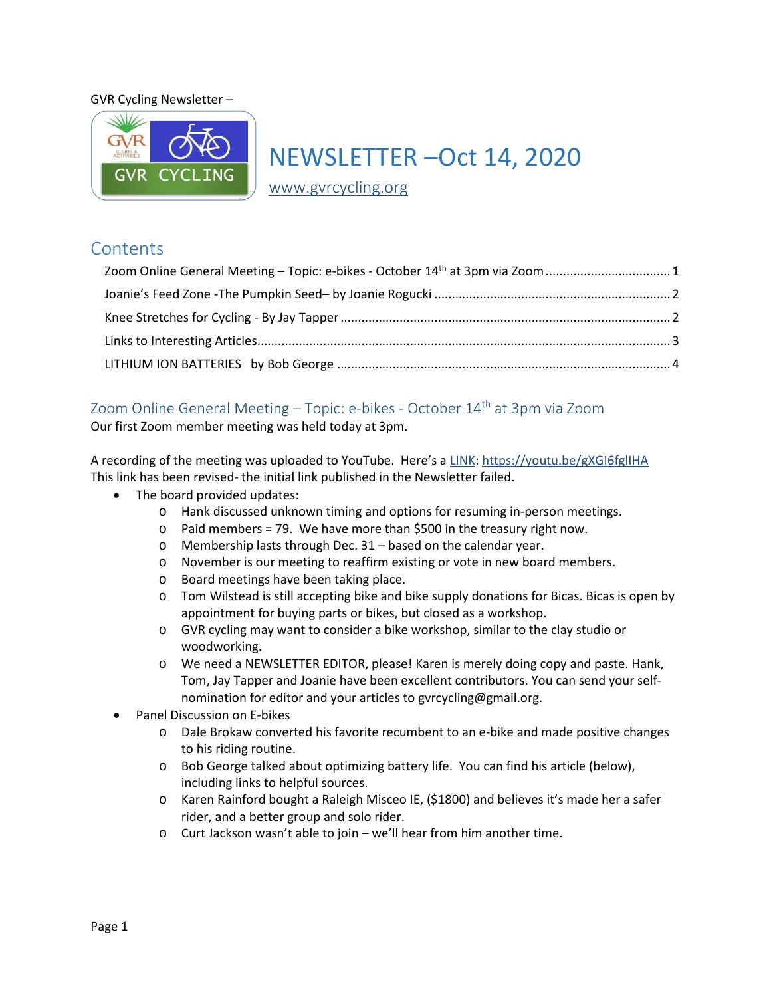#### GVR Cycling Newsletter –



# NEWSLETTER –Oct 14, 2020

[www.gvrcycling.org](http://www.gvrcycling.org/)

# **Contents**

| Zoom Online General Meeting - Topic: e-bikes - October 14 <sup>th</sup> at 3pm via Zoom 1 |  |
|-------------------------------------------------------------------------------------------|--|
|                                                                                           |  |
|                                                                                           |  |
|                                                                                           |  |
|                                                                                           |  |

# <span id="page-0-0"></span>Zoom Online General Meeting – Topic: e-bikes - October 14<sup>th</sup> at 3pm via Zoom

Our first Zoom member meeting was held today at 3pm.

A recording of the meeting was uploaded to YouTube. Here's a [LINK:](https://youtu.be/gGinomdKbn4)<https://youtu.be/gXGI6fglIHA> This link has been revised- the initial link published in the Newsletter failed.

- The board provided updates:
	- o Hank discussed unknown timing and options for resuming in-person meetings.
	- o Paid members = 79. We have more than \$500 in the treasury right now.
	- o Membership lasts through Dec. 31 based on the calendar year.
	- o November is our meeting to reaffirm existing or vote in new board members.
	- o Board meetings have been taking place.
	- o Tom Wilstead is still accepting bike and bike supply donations for Bicas. Bicas is open by appointment for buying parts or bikes, but closed as a workshop.
	- o GVR cycling may want to consider a bike workshop, similar to the clay studio or woodworking.
	- o We need a NEWSLETTER EDITOR, please! Karen is merely doing copy and paste. Hank, Tom, Jay Tapper and Joanie have been excellent contributors. You can send your selfnomination for editor and your articles to gvrcycling@gmail.org.
- Panel Discussion on E-bikes
	- o Dale Brokaw converted his favorite recumbent to an e-bike and made positive changes to his riding routine.
	- o Bob George talked about optimizing battery life. You can find his article (below), including links to helpful sources.
	- o Karen Rainford bought a Raleigh Misceo IE, (\$1800) and believes it's made her a safer rider, and a better group and solo rider.
	- o Curt Jackson wasn't able to join we'll hear from him another time.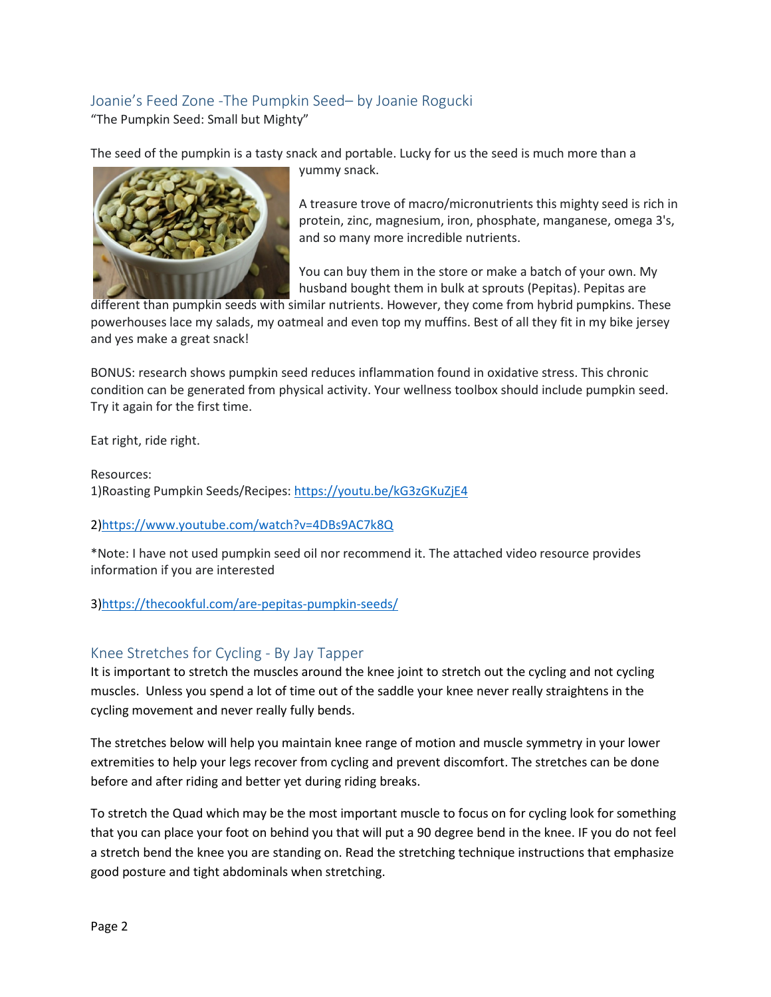## <span id="page-1-0"></span>Joanie's Feed Zone -The Pumpkin Seed– by Joanie Rogucki "The Pumpkin Seed: Small but Mighty"

The seed of the pumpkin is a tasty snack and portable. Lucky for us the seed is much more than a



yummy snack.

A treasure trove of macro/micronutrients this mighty seed is rich in protein, zinc, magnesium, iron, phosphate, manganese, omega 3's, and so many more incredible nutrients.

You can buy them in the store or make a batch of your own. My husband bought them in bulk at sprouts (Pepitas). Pepitas are

different than pumpkin seeds with similar nutrients. However, they come from hybrid pumpkins. These powerhouses lace my salads, my oatmeal and even top my muffins. Best of all they fit in my bike jersey and yes make a great snack!

BONUS: research shows pumpkin seed reduces inflammation found in oxidative stress. This chronic condition can be generated from physical activity. Your wellness toolbox should include pumpkin seed. Try it again for the first time.

Eat right, ride right.

Resources: 1)Roasting Pumpkin Seeds/Recipes[: https://youtu.be/kG3zGKuZjE4](https://youtu.be/kG3zGKuZjE4)

## 2[\)https://www.youtube.com/watch?v=4DBs9AC7k8Q](https://www.youtube.com/watch?v=4DBs9AC7k8Q)

\*Note: I have not used pumpkin seed oil nor recommend it. The attached video resource provides information if you are interested

3[\)https://thecookful.com/are-pepitas-pumpkin-seeds/](https://thecookful.com/are-pepitas-pumpkin-seeds/)

# <span id="page-1-1"></span>Knee Stretches for Cycling - By Jay Tapper

It is important to stretch the muscles around the knee joint to stretch out the cycling and not cycling muscles. Unless you spend a lot of time out of the saddle your knee never really straightens in the cycling movement and never really fully bends.

The stretches below will help you maintain knee range of motion and muscle symmetry in your lower extremities to help your legs recover from cycling and prevent discomfort. The stretches can be done before and after riding and better yet during riding breaks.

To stretch the Quad which may be the most important muscle to focus on for cycling look for something that you can place your foot on behind you that will put a 90 degree bend in the knee. IF you do not feel a stretch bend the knee you are standing on. Read the stretching technique instructions that emphasize good posture and tight abdominals when stretching.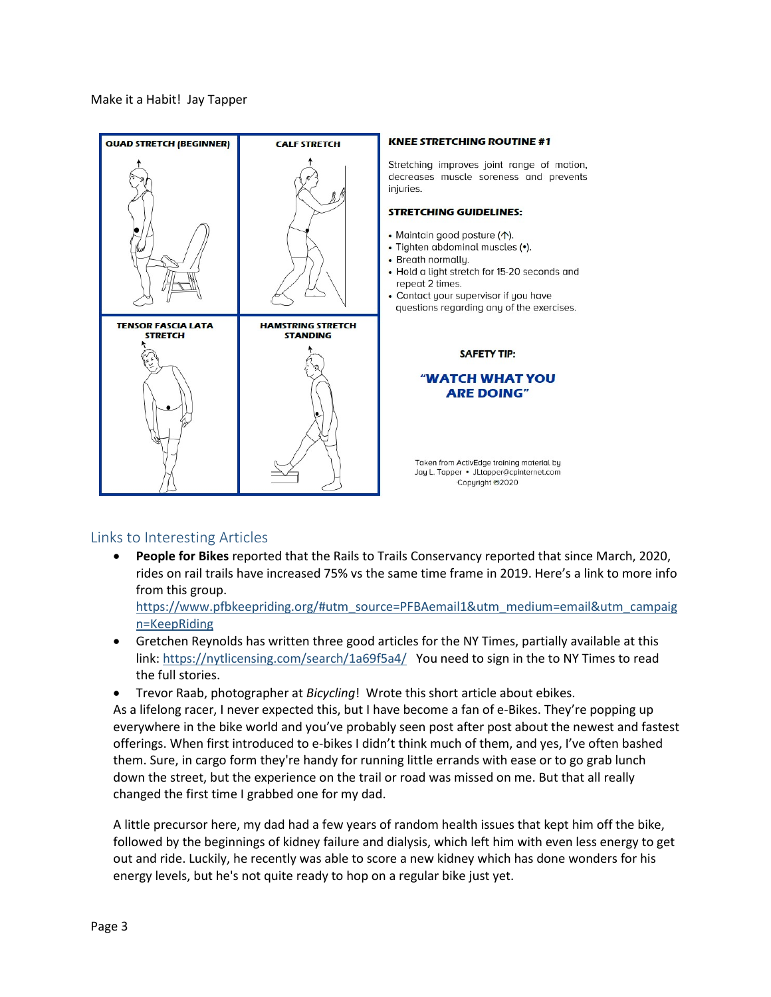Make it a Habit! Jay Tapper



#### **KNEE STRETCHING ROUTINE #1**

Stretching improves joint range of motion, decreases muscle soreness and prevents iniuries.

#### **STRETCHING GUIDELINES:**

- Maintain good posture (1).
- · Tighten abdominal muscles (•).
- · Breath normallu.
- Hold a light stretch for 15-20 seconds and repeat 2 times.
- Contact your supervisor if you have questions regarding any of the exercises.

#### **SAFETY TIP:**

#### **"WATCH WHAT YOU ARE DOING"**

Taken from ActivEdge training material by Jay L. Tapper • JLtapper@cpinternet.com Copyright @2020

## <span id="page-2-0"></span>Links to Interesting Articles

• **People for Bikes** reported that the Rails to Trails Conservancy reported that since March, 2020, rides on rail trails have increased 75% vs the same time frame in 2019. Here's a link to more info from this group.

[https://www.pfbkeepriding.org/#utm\\_source=PFBAemail1&utm\\_medium=email&utm\\_campaig](https://www.pfbkeepriding.org/#utm_source=PFBAemail1&utm_medium=email&utm_campaign=KeepRiding) [n=KeepRiding](https://www.pfbkeepriding.org/#utm_source=PFBAemail1&utm_medium=email&utm_campaign=KeepRiding)

- Gretchen Reynolds has written three good articles for the NY Times, partially available at this link:<https://nytlicensing.com/search/1a69f5a4/>You need to sign in the to NY Times to read the full stories.
- Trevor Raab, photographer at *Bicycling*! Wrote this short article about ebikes.

As a lifelong racer, I never expected this, but I have become a fan of e-Bikes. They're popping up everywhere in the bike world and you've probably seen post after post about the newest and fastest offerings. When first introduced to e-bikes I didn't think much of them, and yes, I've often bashed them. Sure, in cargo form they're handy for running little errands with ease or to go grab lunch down the street, but the experience on the trail or road was missed on me. But that all really changed the first time I grabbed one for my dad.

A little precursor here, my dad had a few years of random health issues that kept him off the bike, followed by the beginnings of kidney failure and dialysis, which left him with even less energy to get out and ride. Luckily, he recently was able to score a new kidney which has done wonders for his energy levels, but he's not quite ready to hop on a regular bike just yet.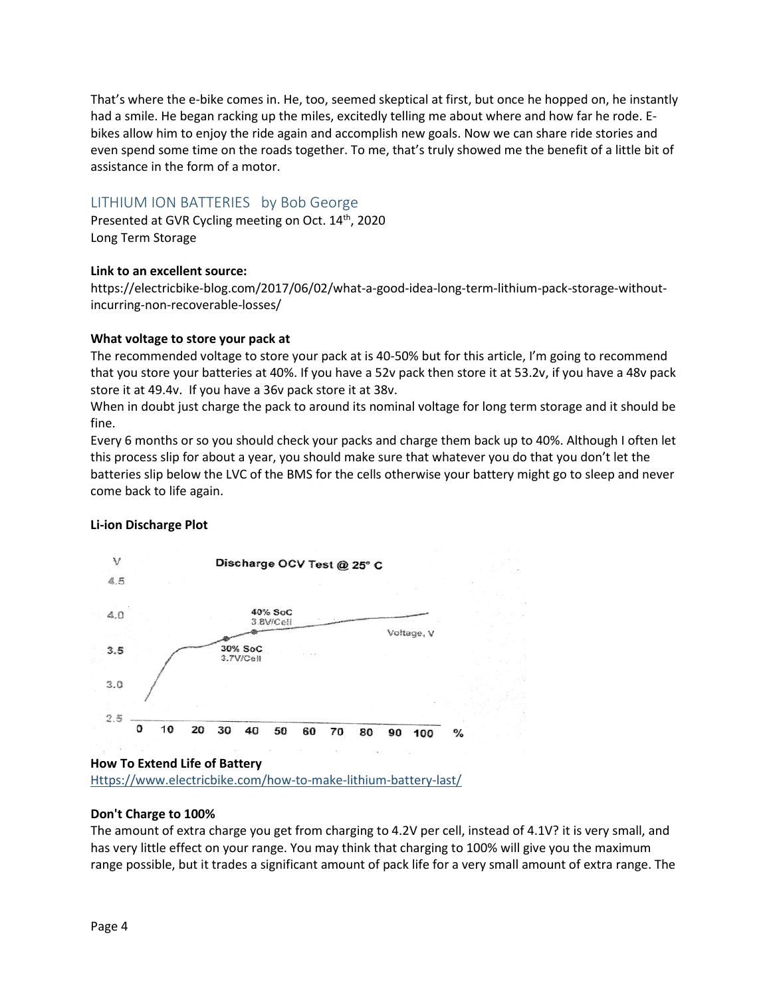That's where the e-bike comes in. He, too, seemed skeptical at first, but once he hopped on, he instantly had a smile. He began racking up the miles, excitedly telling me about where and how far he rode. Ebikes allow him to enjoy the ride again and accomplish new goals. Now we can share ride stories and even spend some time on the roads together. To me, that's truly showed me the benefit of a little bit of assistance in the form of a motor.

## <span id="page-3-0"></span>LITHIUM ION BATTERIES by Bob George

Presented at GVR Cycling meeting on Oct. 14<sup>th</sup>, 2020 Long Term Storage

## **Link to an excellent source:**

https://electricbike-blog.com/2017/06/02/what-a-good-idea-long-term-lithium-pack-storage-withoutincurring-non-recoverable-losses/

## **What voltage to store your pack at**

The recommended voltage to store your pack at is 40-50% but for this article, I'm going to recommend that you store your batteries at 40%. If you have a 52v pack then store it at 53.2v, if you have a 48v pack store it at 49.4v. If you have a 36v pack store it at 38v.

When in doubt just charge the pack to around its nominal voltage for long term storage and it should be fine.

Every 6 months or so you should check your packs and charge them back up to 40%. Although I often let this process slip for about a year, you should make sure that whatever you do that you don't let the batteries slip below the LVC of the BMS for the cells otherwise your battery might go to sleep and never come back to life again.

## **Li-ion Discharge Plot**



[Https://www.electricbike.com/how-to-make-lithium-battery-last/](https://www.electricbike.com/how-to-make-lithium-battery-last/)

## **Don't Charge to 100%**

The amount of extra charge you get from charging to 4.2V per cell, instead of 4.1V? it is very small, and has very little effect on your range. You may think that charging to 100% will give you the maximum range possible, but it trades a significant amount of pack life for a very small amount of extra range. The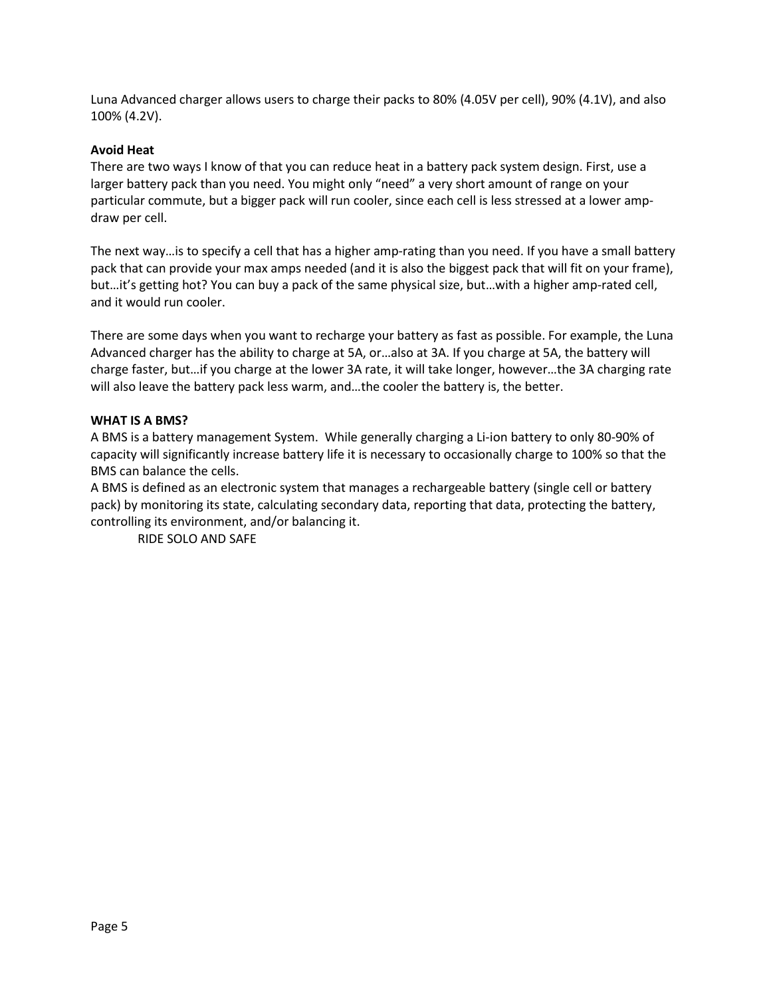Luna Advanced charger allows users to charge their packs to 80% (4.05V per cell), 90% (4.1V), and also 100% (4.2V).

#### **Avoid Heat**

There are two ways I know of that you can reduce heat in a battery pack system design. First, use a larger battery pack than you need. You might only "need" a very short amount of range on your particular commute, but a bigger pack will run cooler, since each cell is less stressed at a lower ampdraw per cell.

The next way…is to specify a cell that has a higher amp-rating than you need. If you have a small battery pack that can provide your max amps needed (and it is also the biggest pack that will fit on your frame), but…it's getting hot? You can buy a pack of the same physical size, but…with a higher amp-rated cell, and it would run cooler.

There are some days when you want to recharge your battery as fast as possible. For example, the Luna Advanced charger has the ability to charge at 5A, or…also at 3A. If you charge at 5A, the battery will charge faster, but…if you charge at the lower 3A rate, it will take longer, however…the 3A charging rate will also leave the battery pack less warm, and…the cooler the battery is, the better.

#### **WHAT IS A BMS?**

A BMS is a battery management System. While generally charging a Li-ion battery to only 80-90% of capacity will significantly increase battery life it is necessary to occasionally charge to 100% so that the BMS can balance the cells.

A BMS is defined as an electronic system that manages a rechargeable battery (single cell or battery pack) by monitoring its state, calculating secondary data, reporting that data, protecting the battery, controlling its environment, and/or balancing it.

RIDE SOLO AND SAFE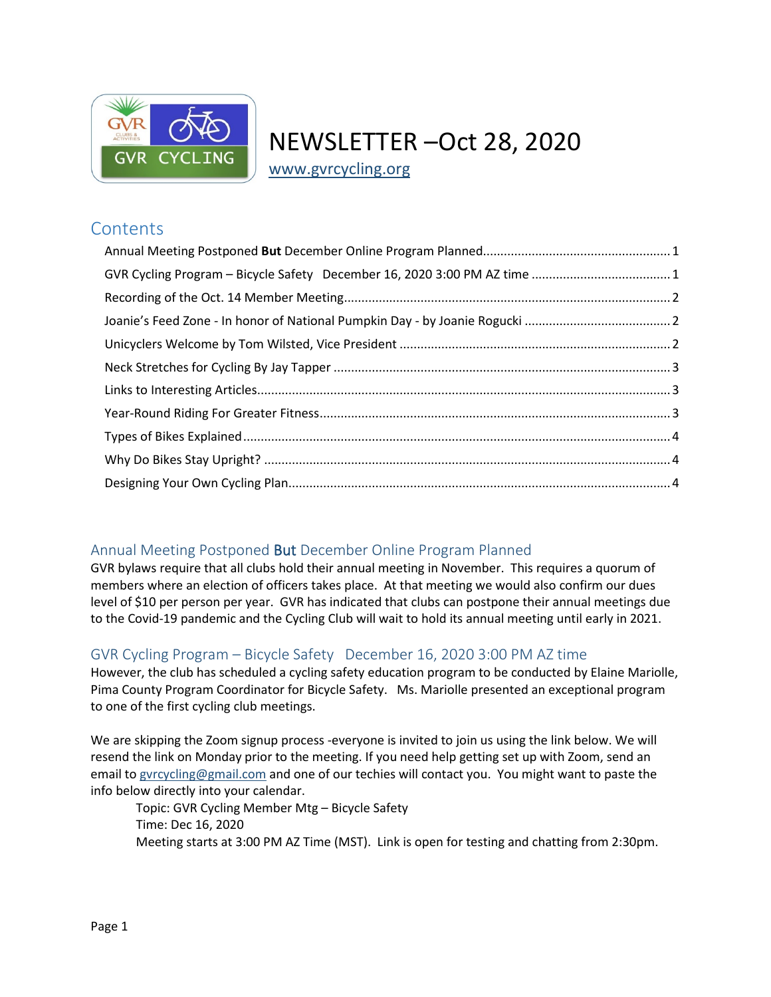

# NEWSLETTER –Oct 28, 2020

[www.gvrcycling.org](http://www.gvrcycling.org/)

# **Contents**

# <span id="page-5-0"></span>Annual Meeting Postponed But December Online Program Planned

GVR bylaws require that all clubs hold their annual meeting in November. This requires a quorum of members where an election of officers takes place. At that meeting we would also confirm our dues level of \$10 per person per year. GVR has indicated that clubs can postpone their annual meetings due to the Covid-19 pandemic and the Cycling Club will wait to hold its annual meeting until early in 2021.

# <span id="page-5-1"></span>GVR Cycling Program – Bicycle Safety December 16, 2020 3:00 PM AZ time

However, the club has scheduled a cycling safety education program to be conducted by Elaine Mariolle, Pima County Program Coordinator for Bicycle Safety. Ms. Mariolle presented an exceptional program to one of the first cycling club meetings.

We are skipping the Zoom signup process -everyone is invited to join us using the link below. We will resend the link on Monday prior to the meeting. If you need help getting set up with Zoom, send an email to [gvrcycling@gmail.com](mailto:gvrcycling@gmail.com) and one of our techies will contact you. You might want to paste the info below directly into your calendar.

Topic: GVR Cycling Member Mtg – Bicycle Safety Time: Dec 16, 2020 Meeting starts at 3:00 PM AZ Time (MST). Link is open for testing and chatting from 2:30pm.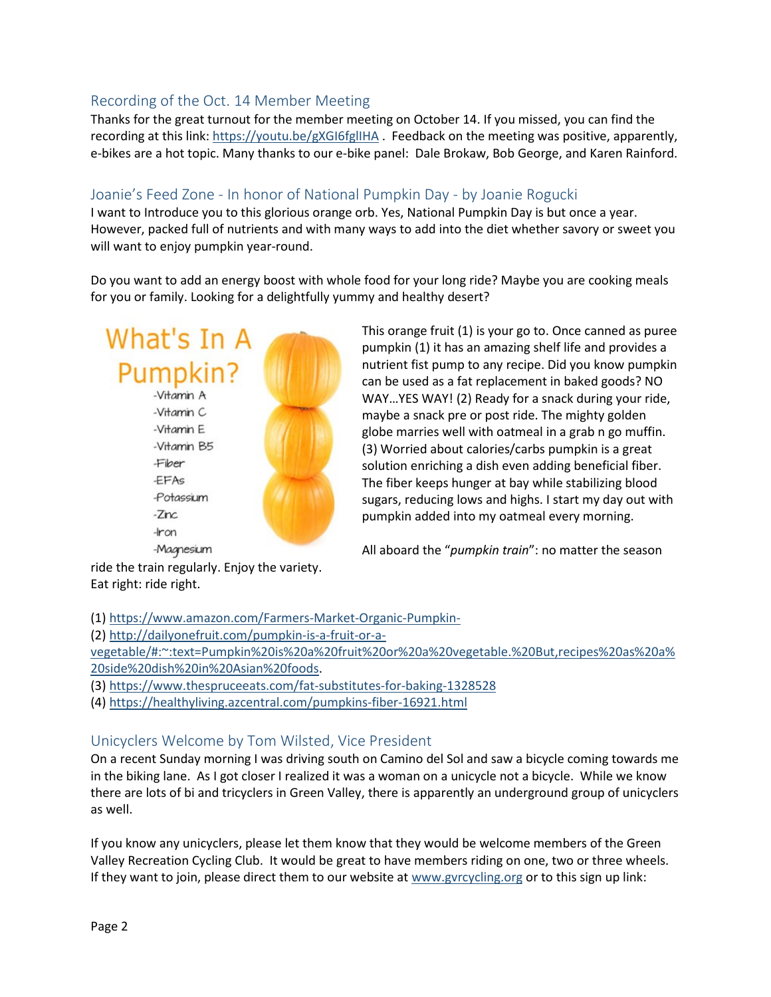# <span id="page-6-0"></span>Recording of the Oct. 14 Member Meeting

Thanks for the great turnout for the member meeting on October 14. If you missed, you can find the recording at this link:<https://youtu.be/gXGI6fglIHA> . Feedback on the meeting was positive, apparently, e-bikes are a hot topic. Many thanks to our e-bike panel: Dale Brokaw, Bob George, and Karen Rainford.

## <span id="page-6-1"></span>Joanie's Feed Zone - In honor of National Pumpkin Day - by Joanie Rogucki

I want to Introduce you to this glorious orange orb. Yes, National Pumpkin Day is but once a year. However, packed full of nutrients and with many ways to add into the diet whether savory or sweet you will want to enjoy pumpkin year-round.

Do you want to add an energy boost with whole food for your long ride? Maybe you are cooking meals for you or family. Looking for a delightfully yummy and healthy desert?



This orange fruit (1) is your go to. Once canned as puree pumpkin (1) it has an amazing shelf life and provides a nutrient fist pump to any recipe. Did you know pumpkin can be used as a fat replacement in baked goods? NO WAY…YES WAY! (2) Ready for a snack during your ride, maybe a snack pre or post ride. The mighty golden globe marries well with oatmeal in a grab n go muffin. (3) Worried about calories/carbs pumpkin is a great solution enriching a dish even adding beneficial fiber. The fiber keeps hunger at bay while stabilizing blood sugars, reducing lows and highs. I start my day out with pumpkin added into my oatmeal every morning.

All aboard the "*pumpkin train*": no matter the season

ride the train regularly. Enjoy the variety. Eat right: ride right.

(1[\) https://www.amazon.com/Farmers-Market-Organic-Pumpkin-](https://www.amazon.com/Farmers-Market-Organic-Pumpkin-)

(2[\) http://dailyonefruit.com/pumpkin-is-a-fruit-or-a-](http://dailyonefruit.com/pumpkin-is-a-fruit-or-a-vegetable/#:%7E:text=Pumpkin%20is%20a%20fruit%20or%20a%20vegetable.%20But,recipes%20as%20a%20side%20dish%20in%20Asian%20foods)

[vegetable/#:~:text=Pumpkin%20is%20a%20fruit%20or%20a%20vegetable.%20But,recipes%20as%20a%](http://dailyonefruit.com/pumpkin-is-a-fruit-or-a-vegetable/#:%7E:text=Pumpkin%20is%20a%20fruit%20or%20a%20vegetable.%20But,recipes%20as%20a%20side%20dish%20in%20Asian%20foods) [20side%20dish%20in%20Asian%20foods.](http://dailyonefruit.com/pumpkin-is-a-fruit-or-a-vegetable/#:%7E:text=Pumpkin%20is%20a%20fruit%20or%20a%20vegetable.%20But,recipes%20as%20a%20side%20dish%20in%20Asian%20foods)

- (3[\) https://www.thespruceeats.com/fat-substitutes-for-baking-1328528](https://www.thespruceeats.com/fat-substitutes-for-baking-1328528)
- (4[\) https://healthyliving.azcentral.com/pumpkins-fiber-16921.html](https://healthyliving.azcentral.com/pumpkins-fiber-16921.html)

# <span id="page-6-2"></span>Unicyclers Welcome by Tom Wilsted, Vice President

On a recent Sunday morning I was driving south on Camino del Sol and saw a bicycle coming towards me in the biking lane. As I got closer I realized it was a woman on a unicycle not a bicycle. While we know there are lots of bi and tricyclers in Green Valley, there is apparently an underground group of unicyclers as well.

If you know any unicyclers, please let them know that they would be welcome members of the Green Valley Recreation Cycling Club. It would be great to have members riding on one, two or three wheels. If they want to join, please direct them to our website at [www.gvrcycling.org](http://www.gvrcycling.org/) or to this sign up link: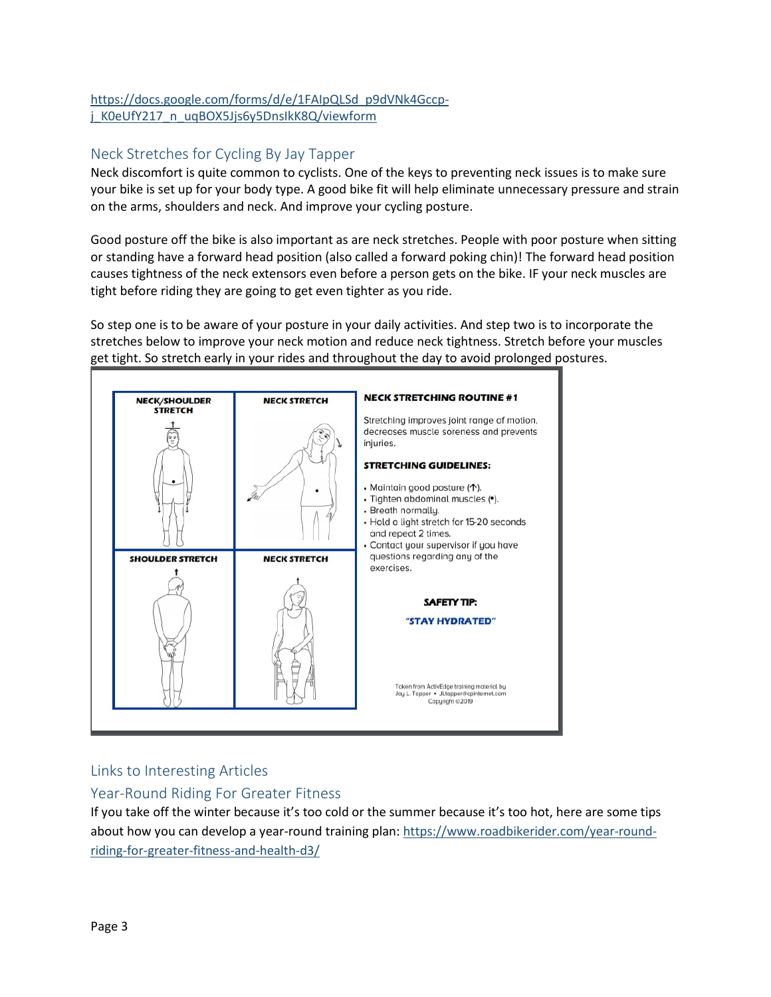## [https://docs.google.com/forms/d/e/1FAIpQLSd\\_p9dVNk4Gccp](https://docs.google.com/forms/d/e/1FAIpQLSd_p9dVNk4Gccp-j_K0eUfY217_n_uqBOX5Jjs6y5DnsIkK8Q/viewform)[j\\_K0eUfY217\\_n\\_uqBOX5Jjs6y5DnsIkK8Q/viewform](https://docs.google.com/forms/d/e/1FAIpQLSd_p9dVNk4Gccp-j_K0eUfY217_n_uqBOX5Jjs6y5DnsIkK8Q/viewform)

# <span id="page-7-0"></span>Neck Stretches for Cycling By Jay Tapper

Neck discomfort is quite common to cyclists. One of the keys to preventing neck issues is to make sure your bike is set up for your body type. A good bike fit will help eliminate unnecessary pressure and strain on the arms, shoulders and neck. And improve your cycling posture.

Good posture off the bike is also important as are neck stretches. People with poor posture when sitting or standing have a forward head position (also called a forward poking chin)! The forward head position causes tightness of the neck extensors even before a person gets on the bike. IF your neck muscles are tight before riding they are going to get even tighter as you ride.

So step one is to be aware of your posture in your daily activities. And step two is to incorporate the stretches below to improve your neck motion and reduce neck tightness. Stretch before your muscles get tight. So stretch early in your rides and throughout the day to avoid prolonged postures.



# <span id="page-7-1"></span>Links to Interesting Articles

# <span id="page-7-2"></span>Year-Round Riding For Greater Fitness

If you take off the winter because it's too cold or the summer because it's too hot, here are some tips about how you can develop a year-round training plan: [https://www.roadbikerider.com/year-round](https://www.roadbikerider.com/year-round-riding-for-greater-fitness-and-health-d3/)[riding-for-greater-fitness-and-health-d3/](https://www.roadbikerider.com/year-round-riding-for-greater-fitness-and-health-d3/)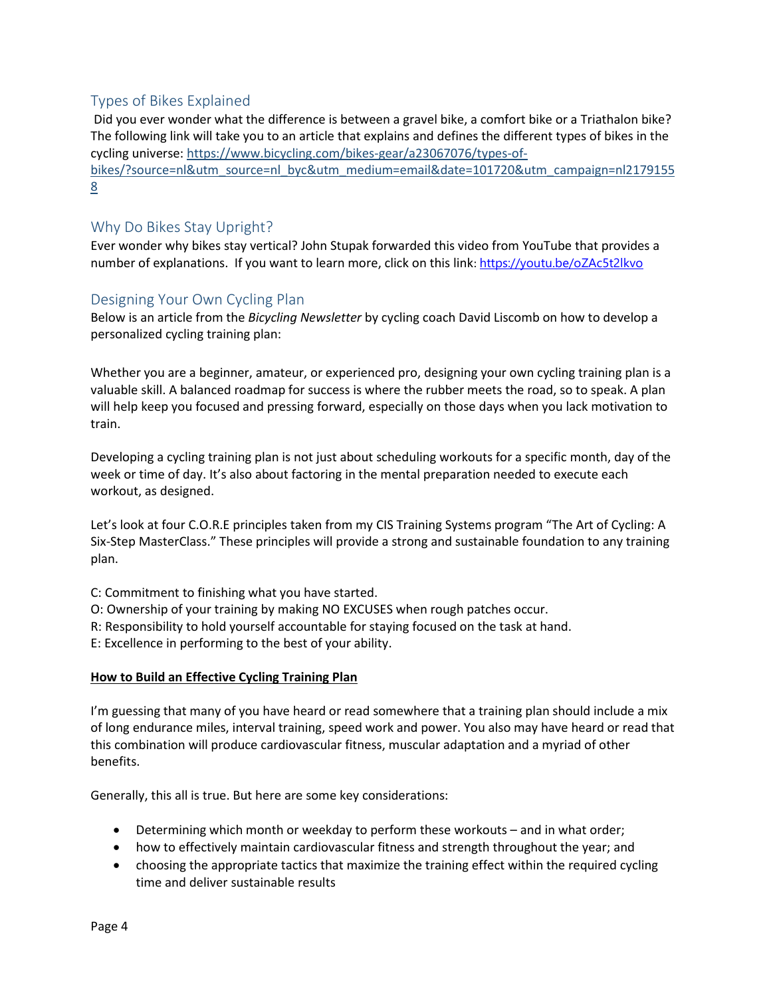# <span id="page-8-0"></span>Types of Bikes Explained

Did you ever wonder what the difference is between a gravel bike, a comfort bike or a Triathalon bike? The following link will take you to an article that explains and defines the different types of bikes in the cycling universe: [https://www.bicycling.com/bikes-gear/a23067076/types-of](https://nam10.safelinks.protection.outlook.com/?url=https%3A%2F%2Fwww.bicycling.com%2Fbikes-gear%2Fa23067076%2Ftypes-of-bikes%2F%3Fsource%3Dnl%26utm_source%3Dnl_byc%26utm_medium%3Demail%26date%3D101720%26utm_campaign%3Dnl21791558&data=04%7C01%7Ctom.wilsted%40uconn.edu%7Cc0c49fb9e1b3460c1f0d08d8747e2998%7C17f1a87e2a254eaab9df9d439034b080%7C0%7C0%7C637387432512201909%7CUnknown%7CTWFpbGZsb3d8eyJWIjoiMC4wLjAwMDAiLCJQIjoiV2luMzIiLCJBTiI6Ik1haWwiLCJXVCI6Mn0%3D%7C1000&sdata=UrIPg2PYNMSfG8uNVIt6v7PFd0c8avTBdaZ1MdUneyU%3D&reserved=0)[bikes/?source=nl&utm\\_source=nl\\_byc&utm\\_medium=email&date=101720&utm\\_campaign=nl2179155](https://nam10.safelinks.protection.outlook.com/?url=https%3A%2F%2Fwww.bicycling.com%2Fbikes-gear%2Fa23067076%2Ftypes-of-bikes%2F%3Fsource%3Dnl%26utm_source%3Dnl_byc%26utm_medium%3Demail%26date%3D101720%26utm_campaign%3Dnl21791558&data=04%7C01%7Ctom.wilsted%40uconn.edu%7Cc0c49fb9e1b3460c1f0d08d8747e2998%7C17f1a87e2a254eaab9df9d439034b080%7C0%7C0%7C637387432512201909%7CUnknown%7CTWFpbGZsb3d8eyJWIjoiMC4wLjAwMDAiLCJQIjoiV2luMzIiLCJBTiI6Ik1haWwiLCJXVCI6Mn0%3D%7C1000&sdata=UrIPg2PYNMSfG8uNVIt6v7PFd0c8avTBdaZ1MdUneyU%3D&reserved=0) [8](https://nam10.safelinks.protection.outlook.com/?url=https%3A%2F%2Fwww.bicycling.com%2Fbikes-gear%2Fa23067076%2Ftypes-of-bikes%2F%3Fsource%3Dnl%26utm_source%3Dnl_byc%26utm_medium%3Demail%26date%3D101720%26utm_campaign%3Dnl21791558&data=04%7C01%7Ctom.wilsted%40uconn.edu%7Cc0c49fb9e1b3460c1f0d08d8747e2998%7C17f1a87e2a254eaab9df9d439034b080%7C0%7C0%7C637387432512201909%7CUnknown%7CTWFpbGZsb3d8eyJWIjoiMC4wLjAwMDAiLCJQIjoiV2luMzIiLCJBTiI6Ik1haWwiLCJXVCI6Mn0%3D%7C1000&sdata=UrIPg2PYNMSfG8uNVIt6v7PFd0c8avTBdaZ1MdUneyU%3D&reserved=0)

# <span id="page-8-1"></span>Why Do Bikes Stay Upright?

Ever wonder why bikes stay vertical? John Stupak forwarded this video from YouTube that provides a number of explanations. If you want to learn more, click on this link: [https://youtu.be/oZAc5t2lkvo](https://nam10.safelinks.protection.outlook.com/?url=https%3A%2F%2Fyoutu.be%2FoZAc5t2lkvo&data=04%7C01%7Ctom.wilsted%40uconn.edu%7C94026d573bcd4720a0e008d8747e375c%7C17f1a87e2a254eaab9df9d439034b080%7C0%7C0%7C637387432726249619%7CUnknown%7CTWFpbGZsb3d8eyJWIjoiMC4wLjAwMDAiLCJQIjoiV2luMzIiLCJBTiI6Ik1haWwiLCJXVCI6Mn0%3D%7C1000&sdata=Fr7GKIhf33CP9elwkKzGe1F0AerxNCYFhd%2BHkmhY%2Fv0%3D&reserved=0)

# <span id="page-8-2"></span>Designing Your Own Cycling Plan

Below is an article from the *Bicycling Newsletter* by cycling coach David Liscomb on how to develop a personalized cycling training plan:

Whether you are a beginner, amateur, or experienced pro, designing your own cycling training plan is a valuable skill. A balanced roadmap for success is where the rubber meets the road, so to speak. A plan will help keep you focused and pressing forward, especially on those days when you lack motivation to train.

Developing a cycling training plan is not just about scheduling workouts for a specific month, day of the week or time of day. It's also about factoring in the mental preparation needed to execute each workout, as designed.

Let's look at four C.O.R.E principles taken from my CIS Training Systems program "The Art of Cycling: A Six-Step MasterClass." These principles will provide a strong and sustainable foundation to any training plan.

- C: Commitment to finishing what you have started.
- O: Ownership of your training by making NO EXCUSES when rough patches occur.
- R: Responsibility to hold yourself accountable for staying focused on the task at hand.
- E: Excellence in performing to the best of your ability.

## **How to Build an Effective Cycling Training Plan**

I'm guessing that many of you have heard or read somewhere that a training plan should include a mix of long endurance miles, interval training, speed work and power. You also may have heard or read that this combination will produce cardiovascular fitness, muscular adaptation and a myriad of other benefits.

Generally, this all is true. But here are some key considerations:

- Determining which month or weekday to perform these workouts and in what order;
- how to effectively maintain cardiovascular fitness and strength throughout the year; and
- choosing the appropriate tactics that maximize the training effect within the required cycling time and deliver sustainable results